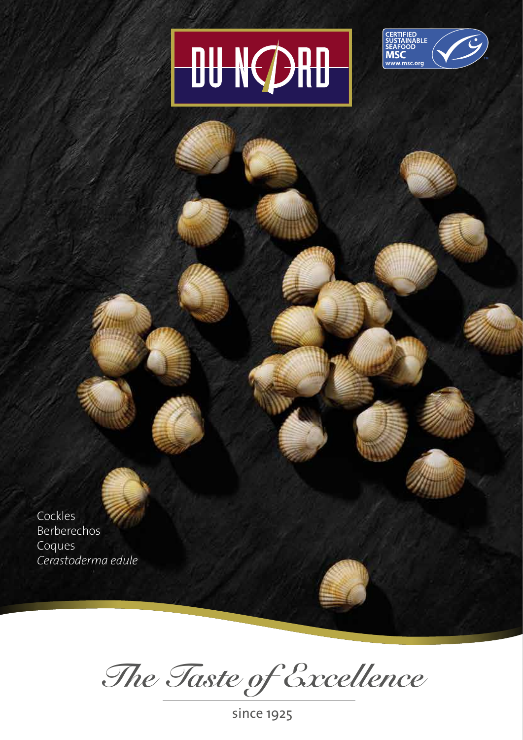## **OU NORD**



Cockles Berberechos Coques *Cerastoderma edule*

*The Taste of Excellence*

since 1925